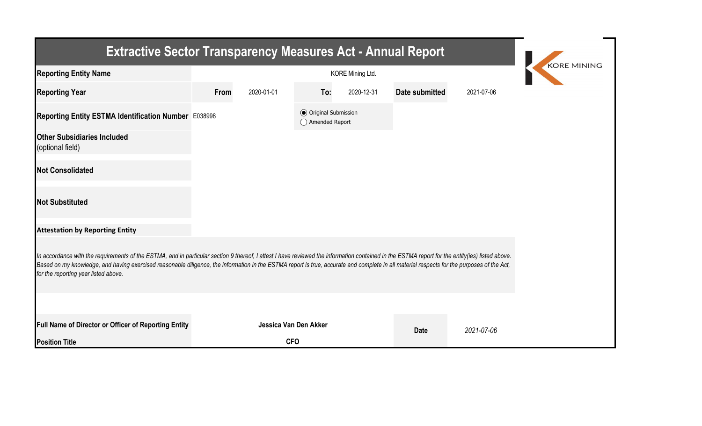| <b>Extractive Sector Transparency Measures Act - Annual Report</b>                                                                                                                                                                                                                                                                                                                                                                    |      |                       |                                                  |            |                |            |  |  |  |  |
|---------------------------------------------------------------------------------------------------------------------------------------------------------------------------------------------------------------------------------------------------------------------------------------------------------------------------------------------------------------------------------------------------------------------------------------|------|-----------------------|--------------------------------------------------|------------|----------------|------------|--|--|--|--|
| <b>Reporting Entity Name</b>                                                                                                                                                                                                                                                                                                                                                                                                          |      | <b>KORE MINING</b>    |                                                  |            |                |            |  |  |  |  |
| <b>Reporting Year</b>                                                                                                                                                                                                                                                                                                                                                                                                                 | From | 2020-01-01            | To:                                              | 2020-12-31 | Date submitted | 2021-07-06 |  |  |  |  |
| Reporting Entity ESTMA Identification Number E038998                                                                                                                                                                                                                                                                                                                                                                                  |      |                       | <b>◎</b> Original Submission<br>◯ Amended Report |            |                |            |  |  |  |  |
| <b>Other Subsidiaries Included</b><br>(optional field)                                                                                                                                                                                                                                                                                                                                                                                |      |                       |                                                  |            |                |            |  |  |  |  |
| <b>Not Consolidated</b>                                                                                                                                                                                                                                                                                                                                                                                                               |      |                       |                                                  |            |                |            |  |  |  |  |
| <b>Not Substituted</b>                                                                                                                                                                                                                                                                                                                                                                                                                |      |                       |                                                  |            |                |            |  |  |  |  |
| <b>Attestation by Reporting Entity</b>                                                                                                                                                                                                                                                                                                                                                                                                |      |                       |                                                  |            |                |            |  |  |  |  |
| In accordance with the requirements of the ESTMA, and in particular section 9 thereof, I attest I have reviewed the information contained in the ESTMA report for the entity(ies) listed above.<br>Based on my knowledge, and having exercised reasonable diligence, the information in the ESTMA report is true, accurate and complete in all material respects for the purposes of the Act,<br>for the reporting year listed above. |      |                       |                                                  |            |                |            |  |  |  |  |
|                                                                                                                                                                                                                                                                                                                                                                                                                                       |      |                       |                                                  |            |                |            |  |  |  |  |
| Full Name of Director or Officer of Reporting Entity                                                                                                                                                                                                                                                                                                                                                                                  |      | Jessica Van Den Akker |                                                  |            | <b>Date</b>    | 2021-07-06 |  |  |  |  |
| <b>Position Title</b>                                                                                                                                                                                                                                                                                                                                                                                                                 |      | <b>CFO</b>            |                                                  |            |                |            |  |  |  |  |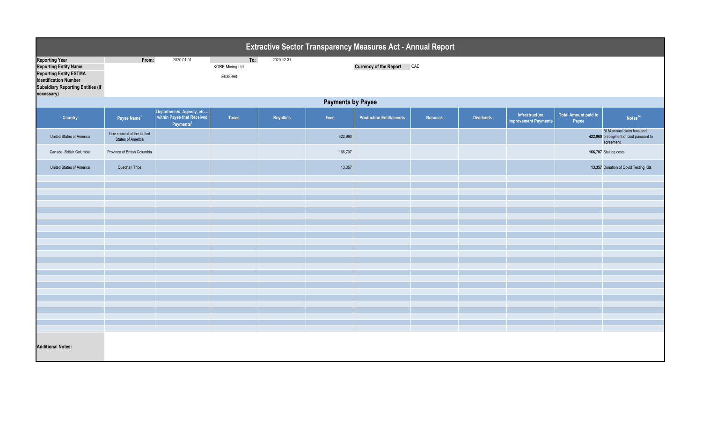| Extractive Sector Transparency Measures Act - Annual Report                                                                                                                      |                                               |                                                                                 |                                    |            |         |                                |                |           |                                               |                               |                                                                                  |  |
|----------------------------------------------------------------------------------------------------------------------------------------------------------------------------------|-----------------------------------------------|---------------------------------------------------------------------------------|------------------------------------|------------|---------|--------------------------------|----------------|-----------|-----------------------------------------------|-------------------------------|----------------------------------------------------------------------------------|--|
| <b>Reporting Year</b><br><b>Reporting Entity Name</b><br><b>Reporting Entity ESTMA</b><br><b>Identification Number</b><br><b>Subsidiary Reporting Entities (if</b><br>necessary) | From:                                         | 2020-01-01                                                                      | To:<br>KORE Mining Ltd.<br>E038998 | 2020-12-31 |         | Currency of the Report CAD     |                |           |                                               |                               |                                                                                  |  |
|                                                                                                                                                                                  | <b>Payments by Payee</b>                      |                                                                                 |                                    |            |         |                                |                |           |                                               |                               |                                                                                  |  |
| Country                                                                                                                                                                          | Payee Name <sup>1</sup>                       | Departments, Agency, etc<br>within Payee that Received<br>Payments <sup>2</sup> | <b>Taxes</b>                       | Royalties  | Fees    | <b>Production Entitlements</b> | <b>Bonuses</b> | Dividends | Infrastructure<br><b>Improvement Payments</b> | Total Amount paid to<br>Payee | Notes <sup>34</sup>                                                              |  |
| United States of America                                                                                                                                                         | Government of the United<br>States of America |                                                                                 |                                    |            | 422,960 |                                |                |           |                                               |                               | BLM annual claim fees and<br>422,960 prepayment of cost pursuant to<br>agreement |  |
| Canada -British Columbia                                                                                                                                                         | Province of British Columbia                  |                                                                                 |                                    |            | 166,707 |                                |                |           |                                               |                               | 166,707 Staking costs                                                            |  |
| United States of America                                                                                                                                                         | Quechan Tribe                                 |                                                                                 |                                    |            | 13,357  |                                |                |           |                                               |                               | 13,357 Donation of Covid Testing Kits                                            |  |
|                                                                                                                                                                                  |                                               |                                                                                 |                                    |            |         |                                |                |           |                                               |                               |                                                                                  |  |
|                                                                                                                                                                                  |                                               |                                                                                 |                                    |            |         |                                |                |           |                                               |                               |                                                                                  |  |
|                                                                                                                                                                                  |                                               |                                                                                 |                                    |            |         |                                |                |           |                                               |                               |                                                                                  |  |
|                                                                                                                                                                                  |                                               |                                                                                 |                                    |            |         |                                |                |           |                                               |                               |                                                                                  |  |
|                                                                                                                                                                                  |                                               |                                                                                 |                                    |            |         |                                |                |           |                                               |                               |                                                                                  |  |
|                                                                                                                                                                                  |                                               |                                                                                 |                                    |            |         |                                |                |           |                                               |                               |                                                                                  |  |
|                                                                                                                                                                                  |                                               |                                                                                 |                                    |            |         |                                |                |           |                                               |                               |                                                                                  |  |
|                                                                                                                                                                                  |                                               |                                                                                 |                                    |            |         |                                |                |           |                                               |                               |                                                                                  |  |
|                                                                                                                                                                                  |                                               |                                                                                 |                                    |            |         |                                |                |           |                                               |                               |                                                                                  |  |
|                                                                                                                                                                                  |                                               |                                                                                 |                                    |            |         |                                |                |           |                                               |                               |                                                                                  |  |
|                                                                                                                                                                                  |                                               |                                                                                 |                                    |            |         |                                |                |           |                                               |                               |                                                                                  |  |
|                                                                                                                                                                                  |                                               |                                                                                 |                                    |            |         |                                |                |           |                                               |                               |                                                                                  |  |
|                                                                                                                                                                                  |                                               |                                                                                 |                                    |            |         |                                |                |           |                                               |                               |                                                                                  |  |
|                                                                                                                                                                                  |                                               |                                                                                 |                                    |            |         |                                |                |           |                                               |                               |                                                                                  |  |
|                                                                                                                                                                                  |                                               |                                                                                 |                                    |            |         |                                |                |           |                                               |                               |                                                                                  |  |
|                                                                                                                                                                                  |                                               |                                                                                 |                                    |            |         |                                |                |           |                                               |                               |                                                                                  |  |
|                                                                                                                                                                                  |                                               |                                                                                 |                                    |            |         |                                |                |           |                                               |                               |                                                                                  |  |
| <b>Additional Notes:</b>                                                                                                                                                         |                                               |                                                                                 |                                    |            |         |                                |                |           |                                               |                               |                                                                                  |  |